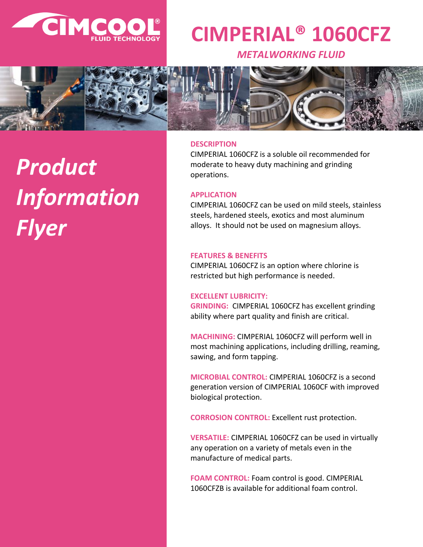

## **CIMPERIAL® 1060CFZ**

*METALWORKING FLUID*



# *Product Information Flyer*

#### **DESCRIPTION**

CIMPERIAL 1060CFZ is a soluble oil recommended for moderate to heavy duty machining and grinding operations.

#### **APPLICATION**

CIMPERIAL 1060CFZ can be used on mild steels, stainless steels, hardened steels, exotics and most aluminum alloys. It should not be used on magnesium alloys.

#### **FEATURES & BENEFITS**

CIMPERIAL 1060CFZ is an option where chlorine is restricted but high performance is needed.

#### **EXCELLENT LUBRICITY:**

**GRINDING:** CIMPERIAL 1060CFZ has excellent grinding ability where part quality and finish are critical.

**MACHINING:** CIMPERIAL 1060CFZ will perform well in most machining applications, including drilling, reaming, sawing, and form tapping.

**MICROBIAL CONTROL:** CIMPERIAL 1060CFZ is a second generation version of CIMPERIAL 1060CF with improved biological protection.

**CORROSION CONTROL:** Excellent rust protection.

**VERSATILE:** CIMPERIAL 1060CFZ can be used in virtually any operation on a variety of metals even in the manufacture of medical parts.

**FOAM CONTROL:** Foam control is good. CIMPERIAL 1060CFZB is available for additional foam control.